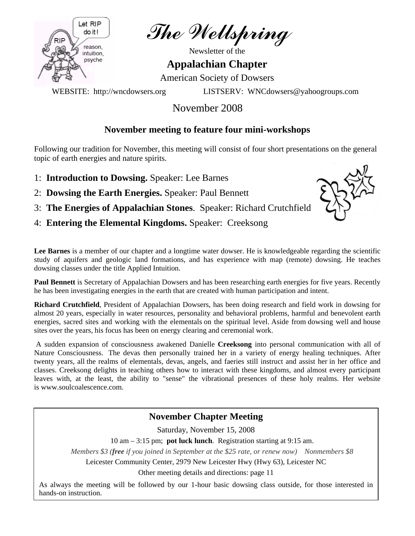

The Wellspring

Newsletter of the

**Appalachian Chapter** 

American Society of Dowsers

WEBSITE: http://wncdowsers.org LISTSERV: WNCdowsers@yahoogroups.com

# November 2008

# **November meeting to feature four mini-workshops**

Following our tradition for November, this meeting will consist of four short presentations on the general topic of earth energies and nature spirits.

- 1: **Introduction to Dowsing.** Speaker: Lee Barnes
- 2: **Dowsing the Earth Energies.** Speaker: Paul Bennett
- 3: **The Energies of Appalachian Stones**. Speaker: Richard Crutchfield
- 4: **Entering the Elemental Kingdoms.** Speaker: Creeksong



Lee Barnes is a member of our chapter and a longtime water dowser. He is knowledgeable regarding the scientific study of aquifers and geologic land formations, and has experience with map (remote) dowsing. He teaches dowsing classes under the title Applied Intuition.

**Paul Bennett** is Secretary of Appalachian Dowsers and has been researching earth energies for five years. Recently he has been investigating energies in the earth that are created with human participation and intent.

**Richard Crutchfield**, President of Appalachian Dowsers, has been doing research and field work in dowsing for almost 20 years, especially in water resources, personality and behavioral problems, harmful and benevolent earth energies, sacred sites and working with the elementals on the spiritual level. Aside from dowsing well and house sites over the years, his focus has been on energy clearing and ceremonial work.

 A sudden expansion of consciousness awakened Danielle **Creeksong** into personal communication with all of Nature Consciousness. The devas then personally trained her in a variety of energy healing techniques. After twenty years, all the realms of elementals, devas, angels, and faeries still instruct and assist her in her office and classes. Creeksong delights in teaching others how to interact with these kingdoms, and almost every participant leaves with, at the least, the ability to "sense" the vibrational presences of these holy realms. Her website is www.soulcoalescence.com.

# **November Chapter Meeting**

Saturday, November 15, 2008

10 am – 3:15 pm; **pot luck lunch**. Registration starting at 9:15 am.

*Members \$3 (free if you joined in September at the \$25 rate, or renew now) Nonmembers \$8*

Leicester Community Center, 2979 New Leicester Hwy (Hwy 63), Leicester NC

Other meeting details and directions: page 11

As always the meeting will be followed by our 1-hour basic dowsing class outside, for those interested in hands-on instruction.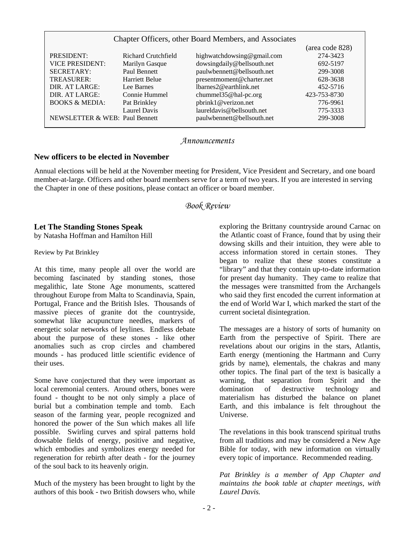| Chapter Officers, other Board Members, and Associates |                       |                               |                 |
|-------------------------------------------------------|-----------------------|-------------------------------|-----------------|
|                                                       |                       |                               | (area code 828) |
| PRESIDENT:                                            | Richard Crutchfield   | highwatchdowsing@gmail.com    | 274-3423        |
| <b>VICE PRESIDENT:</b>                                | Marilyn Gasque        | dowsingdaily@bellsouth.net    | 692-5197        |
| <b>SECRETARY:</b>                                     | Paul Bennett          | paulwbennett@bellsouth.net    | 299-3008        |
| TREASURER:                                            | <b>Harriett Belue</b> | presentmoment@charter.net     | 628-3638        |
| DIR. AT LARGE:                                        | Lee Barnes            | $lbar$ nes $2@$ earthlink.net | 452-5716        |
| DIR. AT LARGE:                                        | Connie Hummel         | chummel35@hal-pc.org          | 423-753-8730    |
| <b>BOOKS &amp; MEDIA:</b>                             | Pat Brinkley          | pbrink1@verizon.net           | 776-9961        |
|                                                       | <b>Laurel Davis</b>   | laureldavis@bellsouth.net     | 775-3333        |
| NEWSLETTER & WEB: Paul Bennett                        |                       | paulwbennett@bellsouth.net    | 299-3008        |

### *Announcements*

### **New officers to be elected in November**

Annual elections will be held at the November meeting for President, Vice President and Secretary, and one board member-at-large. Officers and other board members serve for a term of two years. If you are interested in serving the Chapter in one of these positions, please contact an officer or board member.

## *Book Review*

### **Let The Standing Stones Speak**

by Natasha Hoffman and Hamilton Hill

Review by Pat Brinkley

At this time, many people all over the world are becoming fascinated by standing stones, those megalithic, late Stone Age monuments, scattered throughout Europe from Malta to Scandinavia, Spain, Portugal, France and the British Isles. Thousands of massive pieces of granite dot the countryside, somewhat like acupuncture needles, markers of energetic solar networks of leylines. Endless debate about the purpose of these stones - like other anomalies such as crop circles and chambered mounds - has produced little scientific evidence of their uses.

Some have conjectured that they were important as local ceremonial centers. Around others, bones were found - thought to be not only simply a place of burial but a combination temple and tomb. Each season of the farming year, people recognized and honored the power of the Sun which makes all life possible. Swirling curves and spiral patterns hold dowsable fields of energy, positive and negative, which embodies and symbolizes energy needed for regeneration for rebirth after death - for the journey of the soul back to its heavenly origin.

Much of the mystery has been brought to light by the authors of this book - two British dowsers who, while

exploring the Brittany countryside around Carnac on the Atlantic coast of France, found that by using their dowsing skills and their intuition, they were able to access information stored in certain stones. They began to realize that these stones constitute a "library" and that they contain up-to-date information for present day humanity. They came to realize that the messages were transmitted from the Archangels who said they first encoded the current information at the end of World War I, which marked the start of the current societal disintegration.

The messages are a history of sorts of humanity on Earth from the perspective of Spirit. There are revelations about our origins in the stars, Atlantis, Earth energy (mentioning the Hartmann and Curry grids by name), elementals, the chakras and many other topics. The final part of the text is basically a warning, that separation from Spirit and the domination of destructive technology and materialism has disturbed the balance on planet Earth, and this imbalance is felt throughout the Universe.

The revelations in this book transcend spiritual truths from all traditions and may be considered a New Age Bible for today, with new information on virtually every topic of importance. Recommended reading.

*Pat Brinkley is a member of App Chapter and maintains the book table at chapter meetings, with Laurel Davis.*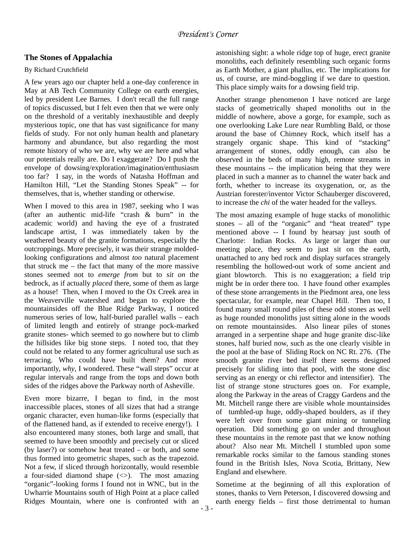## **The Stones of Appalachia**

### By Richard Crutchfield

A few years ago our chapter held a one-day conference in May at AB Tech Community College on earth energies, led by president Lee Barnes. I don't recall the full range of topics discussed, but I felt even then that we were only on the threshold of a veritably inexhaustible and deeply mysterious topic, one that has vast significance for many fields of study. For not only human health and planetary harmony and abundance, but also regarding the most remote history of who we are, why we are here and what our potentials really are. Do I exaggerate? Do I push the envelope of dowsing/exploration/imagination/enthusiasm too far? I say, in the words of Natasha Hoffman and Hamilton Hill, "Let the Standing Stones Speak" -- for themselves, that is, whether standing or otherwise.

When I moved to this area in 1987, seeking who I was (after an authentic mid-life "crash & burn" in the academic world) and having the eye of a frustrated landscape artist, I was immediately taken by the weathered beauty of the granite formations, especially the outcroppings. More precisely, it was their strange moldedlooking configurations and almost *too* natural placement that struck me – the fact that many of the more massive stones seemed not to *emerge from* but to *sit on* the bedrock, as if actually *placed* there, some of them as large as a house! Then, when I moved to the Ox Creek area in the Weaverville watershed and began to explore the mountainsides off the Blue Ridge Parkway, I noticed numerous series of low, half-buried parallel walls – each of limited length and entirely of strange pock-marked granite stones- which seemed to go nowhere but to climb the hillsides like big stone steps. I noted too, that they could not be related to any former agricultural use such as terracing. Who could have built them? And more importantly, *why*, I wondered. These "wall steps" occur at regular intervals and range from the tops and down both sides of the ridges above the Parkway north of Asheville.

Even more bizarre, I began to find, in the most inaccessible places, stones of all sizes that had a strange organic character, even human-like forms (especially that of the flattened hand, as if extended to receive energy!). I also encountered many stones, both large and small, that seemed to have been smoothly and precisely cut or sliced (by laser?) or somehow heat treated – or both, and some thus formed into geometric shapes, such as the trapezoid. Not a few, if sliced through horizontally, would resemble a four-sided diamond shape  $(\le)$ . The most amazing "organic"-looking forms I found not in WNC, but in the Uwharrie Mountains south of High Point at a place called Ridges Mountain, where one is confronted with an

astonishing sight: a whole ridge top of huge, erect granite monoliths, each definitely resembling such organic forms as Earth Mother, a giant phallus, etc. The implications for us, of course, are mind-boggling if we dare to question. This place simply waits for a dowsing field trip.

Another strange phenomenon I have noticed are large stacks of geometrically shaped monoliths out in the middle of nowhere, above a gorge, for example, such as one overlooking Lake Lure near Rumbling Bald, or those around the base of Chimney Rock, which itself has a strangely organic shape. This kind of "stacking" arrangement of stones, oddly enough, can also be observed in the beds of many high, remote streams in these mountains -- the implication being that they were placed in such a manner as to channel the water back and forth, whether to increase its oxygenation, or, as the Austrian forester/inventor Victor Schauberger discovered, to increase the *chi* of the water headed for the valleys.

The most amazing example of huge stacks of monolithic stones – all of the "organic" and "heat treated" type mentioned above -- I found by hearsay just south of Charlotte: Indian Rocks. As large or larger than our meeting place, they seem to just sit on the earth, unattached to any bed rock and display surfaces strangely resembling the hollowed-out work of some ancient and giant blowtorch. This is no exaggeration; a field trip might be in order there too. I have found other examples of these stone arrangements in the Piedmont area, one less spectacular, for example, near Chapel Hill. Then too, I found many small round piles of these odd stones as well as huge rounded monoliths just sitting alone in the woods on remote mountainsides. Also linear piles of stones arranged in a serpentine shape and huge granite disc-like stones, half buried now, such as the one clearly visible in the pool at the base of Sliding Rock on NC Rt. 276. (The smooth granite river bed itself there seems designed precisely for sliding into that pool, with the stone disc serving as an energy or chi reflector and intensifier). The list of strange stone structures goes on. For example, along the Parkway in the areas of Craggy Gardens and the Mt. Mitchell range there are visible whole mountainsides of tumbled-up huge, oddly-shaped boulders, as if they were left over from some giant mining or tunneling operation. Did something go on under and throughout these mountains in the remote past that we know nothing about? Also near Mt. Mitchell I stumbled upon some remarkable rocks similar to the famous standing stones found in the British Isles, Nova Scotia, Brittany, New England and elsewhere.

Sometime at the beginning of all this exploration of stones, thanks to Vern Peterson, I discovered dowsing and earth energy fields – first those detrimental to human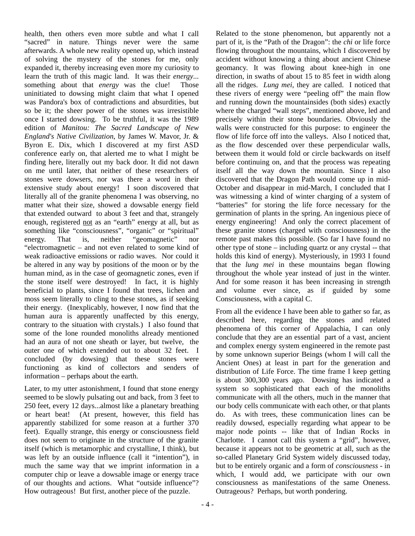health, then others even more subtle and what I call "sacred" in nature. Things never were the same afterwards. A whole new reality opened up, which instead of solving the mystery of the stones for me, only expanded it, thereby increasing even more my curiosity to learn the truth of this magic land. It was their *energy*... something about that *energy* was the clue! Those uninitiated to dowsing might claim that what I opened was Pandora's box of contradictions and absurdities, but so be it; the sheer power of the stones was irresistible once I started dowsing. To be truthful, it was the 1989 edition of *Manitou: The Sacred Landscape of New England's Native Civilization*, by James W. Mavor, Jr. & Byron E. Dix, which I discovered at my first ASD conference early on, that alerted me to what I might be finding here, literally out my back door. It did not dawn on me until later, that neither of these researchers of stones were dowsers, nor was there a word in their extensive study about energy! I soon discovered that literally all of the granite phenomena I was observing, no matter what their size, showed a dowsable energy field that extended outward to about 3 feet and that, strangely enough, registered not as an "earth" energy at all, but as something like "consciousness", "organic" or "spiritual" energy. That is, neither "geomagnetic" nor "electromagnetic – and not even related to some kind of weak radioactive emissions or radio waves. Nor could it be altered in any way by positions of the moon or by the human mind, as in the case of geomagnetic zones, even if the stone itself were destroyed! In fact, it is highly beneficial to plants, since I found that trees, lichen and moss seem literally to cling to these stones, as if seeking their energy. (Inexplicably, however, I now find that the human aura is apparently unaffected by this energy, contrary to the situation with crystals.) I also found that some of the lone rounded monoliths already mentioned had an aura of not one sheath or layer, but twelve, the outer one of which extended out to about 32 feet. I concluded (by dowsing) that these stones were functioning as kind of collectors and senders of information – perhaps about the earth.

Later, to my utter astonishment, I found that stone energy seemed to be slowly pulsating out and back, from 3 feet to 250 feet, every 12 days...almost like a planetary breathing or heart beat! (At present, however, this field has apparently stabilized for some reason at a further 370 feet). Equally strange, this energy or consciousness field does not seem to originate in the structure of the granite itself (which is metamorphic and crystalline, I think), but was left by an outside influence (call it "intention"), in much the same way that we imprint information in a computer chip or leave a dowsable image or energy trace of our thoughts and actions. What "outside influence"? How outrageous! But first, another piece of the puzzle.

Related to the stone phenomenon, but apparently not a part of it, is the "Path of the Dragon": the *chi* or life force flowing throughout the mountains, which I discovered by accident without knowing a thing about ancient Chinese geomancy. It was flowing about knee-high in one direction, in swaths of about 15 to 85 feet in width along all the ridges. *Lung mei*, they are called. I noticed that these rivers of energy were "peeling off" the main flow and running down the mountainsides (both sides) exactly where the charged "wall steps", mentioned above, led and precisely within their stone boundaries. Obviously the walls were constructed for this purpose: to engineer the flow of life force off into the valleys. Also I noticed that, as the flow descended over these perpendicular walls, between them it would fold or circle backwards on itself before continuing on, and that the process was repeating itself all the way down the mountain. Since I also discovered that the Dragon Path would come up in mid-October and disappear in mid-March, I concluded that I was witnessing a kind of winter charging of a system of "batteries" for storing the life force necessary for the germination of plants in the spring. An ingenious piece of energy engineering! And only the correct placement of these granite stones (charged with consciousness) in the remote past makes this possible. (So far I have found no other type of stone – including quartz or any crystal -- that holds this kind of energy). Mysteriously, in 1993 I found that the *lung mei* in these mountains began flowing throughout the whole year instead of just in the winter. And for some reason it has been increasing in strength and volume ever since, as if guided by some Consciousness, with a capital C.

From all the evidence I have been able to gather so far, as described here, regarding the stones and related phenomena of this corner of Appalachia, I can only conclude that they are an essential part of a vast, ancient and complex energy system engineered in the remote past by some unknown superior Beings (whom I will call the Ancient Ones) at least in part for the generation and distribution of Life Force. The time frame I keep getting is about 300,300 years ago. Dowsing has indicated a system so sophisticated that each of the monoliths communicate with all the others, much in the manner that our body cells communicate with each other, or that plants do. As with trees, these communication lines can be readily dowsed, especially regarding what appear to be major node points -- like that of Indian Rocks in Charlotte. I cannot call this system a "grid", however, because it appears not to be geometric at all, such as the so-called Planetary Grid System widely discussed today, but to be entirely organic and a form of *consciousness* - in which, I would add, we participate with our own consciousness as manifestations of the same Oneness. Outrageous? Perhaps, but worth pondering.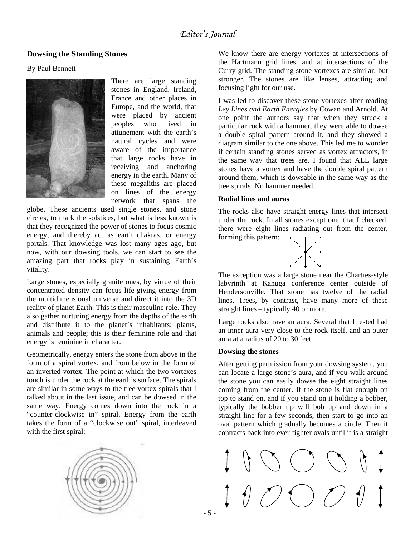## **Dowsing the Standing Stones**

### By Paul Bennett



There are large standing stones in England, Ireland, France and other places in Europe, and the world, that were placed by ancient peoples who lived in attunement with the earth's natural cycles and were aware of the importance that large rocks have in receiving and anchoring energy in the earth. Many of these megaliths are placed on lines of the energy network that spans the

globe. These ancients used single stones, and stone circles, to mark the solstices, but what is less known is that they recognized the power of stones to focus cosmic energy, and thereby act as earth chakras, or energy portals. That knowledge was lost many ages ago, but now, with our dowsing tools, we can start to see the amazing part that rocks play in sustaining Earth's vitality.

animals and people; this is their feminine role and that Large stones, especially granite ones, by virtue of their concentrated density can focus life-giving energy from the multidimensional universe and direct it into the 3D reality of planet Earth. This is their masculine role. They also gather nurturing energy from the depths of the earth and distribute it to the planet's inhabitants: plants, energy is feminine in character.

takes the form of a "clockwise out" spiral, interleaved with the first spiral: Geometrically, energy enters the stone from above in the form of a spiral vortex, and from below in the form of an inverted vortex. The point at which the two vortexes touch is under the rock at the earth's surface. The spirals are similar in some ways to the tree vortex spirals that I talked about in the last issue, and can be dowsed in the same way. Energy comes down into the rock in a "counter-clockwise in" spiral. Energy from the earth



We know there are energy vortexes at intersections of the Hartmann grid lines, and at intersections of the Curry grid. The standing stone vortexes are similar, but stronger. The stones are like lenses, attracting and focusing light for our use.

I was led to discover these stone vortexes after reading *Ley Lines and Earth Energies* by Cowan and Arnold. At one point the authors say that when they struck a particular rock with a hammer, they were able to dowse a double spiral pattern around it, and they showed a diagram similar to the one above. This led me to wonder if certain standing stones served as vortex attractors, in the same way that trees are. I found that ALL large stones have a vortex and have the double spiral pattern around them, which is dowsable in the same way as the tree spirals. No hammer needed.

### **Radial lines and auras**

The rocks also have straight energy lines that intersect under the rock. In all stones except one, that I checked, there were eight lines radiating out from the center, forming this pattern:



The exception was a large stone near the Chartres-style labyrinth at Kanuga conference center outside of Hendersonville. That stone has twelve of the radial lines. Trees, by contrast, have many more of these straight lines – typically 40 or more.

Large rocks also have an aura. Several that I tested had an inner aura very close to the rock itself, and an outer aura at a radius of 20 to 30 feet.

### **Dowsing the stones**

After getting permission from your dowsing system, you can locate a large stone's aura, and if you walk around the stone you can easily dowse the eight straight lines coming from the center. If the stone is flat enough on top to stand on, and if you stand on it holding a bobber, typically the bobber tip will bob up and down in a straight line for a few seconds, then start to go into an oval pattern which gradually becomes a circle. Then it contracts back into ever-tighter ovals until it is a straight

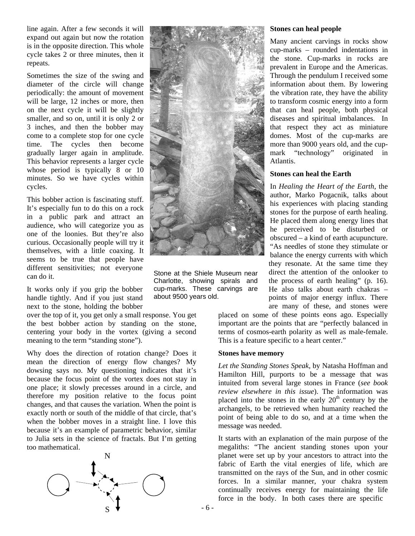line again. After a few seconds it will expand out again but now the rotation is in the opposite direction. This whole cycle takes 2 or three minutes, then it repeats.

Sometimes the size of the swing and diameter of the circle will change periodically: the amount of movement will be large, 12 inches or more, then on the next cycle it will be slightly smaller, and so on, until it is only 2 or 3 inches, and then the bobber may come to a complete stop for one cycle time. The cycles then become gradually larger again in amplitude. This behavior represents a larger cycle whose period is typically 8 or 10 minutes. So we have cycles within cycles.

can do it. This bobber action is fascinating stuff. It's especially fun to do this on a rock in a public park and attract an audience, who will categorize you as one of the loonies. But they're also curious. Occasionally people will try it themselves, with a little coaxing. It seems to be true that people have different sensitivities; not everyone

It works only if you grip the bobber handle tightly. And if you just stand next to the stone, holding the bobber

over the top of it, you get only a small response. You get the best bobber action by standing on the stone, centering your body in the vortex (giving a second meaning to the term "standing stone").

Why does the direction of rotation change? Does it mean the direction of energy flow changes? My dowsing says no. My questioning indicates that it's because the focus point of the vortex does not stay in one place; it slowly precesses around in a circle, and therefore my position relative to the focus point changes, and that causes the variation. When the point is exactly north or south of the middle of that circle, that's when the bobber moves in a straight line. I love this because it's an example of parametric behavior, similar to Julia sets in the science of fractals. But I'm getting too mathematical.





Stone at the Shiele Museum near Charlotte, showing spirals and cup-marks. These carvings are about 9500 years old.

#### **Stones can heal people**

Many ancient carvings in rocks show cup-marks – rounded indentations in the stone. Cup-marks in rocks are prevalent in Europe and the Americas. Through the pendulum I received some information about them. By lowering the vibration rate, they have the ability to transform cosmic energy into a form that can heal people, both physical diseases and spiritual imbalances. In that respect they act as miniature domes. Most of the cup-marks are more than 9000 years old, and the cupmark "technology" originated in Atlantis.

#### **Stones can heal the Earth**

In *Healing the Heart of the Earth*, the author, Marko Pogacnik, talks about his experiences with placing standing stones for the purpose of earth healing. He placed them along energy lines that he perceived to be disturbed or obscured – a kind of earth acupuncture. "As needles of stone they stimulate or balance the energy currents with which they resonate. At the same time they direct the attention of the onlooker to the process of earth healing" (p. 16). He also talks about earth chakras – points of major energy influx. There are many of these, and stones were

sponse. You get placed on some of these points eons ago. Especially This is a feature specific to a heart center." important are the points that are "perfectly balanced in terms of cosmos-earth polarity as well as male-female.

### **Stones have memory**

*Let the Standing Stones Speak*, by Natasha Hoffman and Hamilton Hill, purports to be a message that was intuited from several large stones in France (*see book review elsewhere in this issue*). The information was placed into the stones in the early  $20<sup>th</sup>$  century by the archangels, to be retrieved when humanity reached the point of being able to do so, and at a time when the message was needed.

It starts with an explanation of the main purpose of the megaliths: "The ancient standing stones upon your planet were set up by your ancestors to attract into the fabric of Earth the vital energies of life, which are transmitted on the rays of the Sun, and in other cosmic forces. In a similar manner, your chakra system continually receives energy for maintaining the life force in the body. In both cases there are specific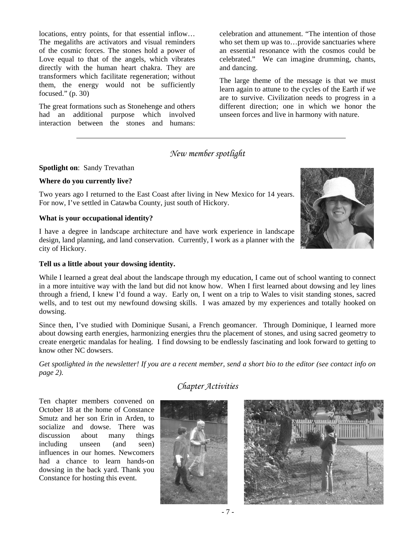locations, entry points, for that essential inflow… The megaliths are activators and visual reminders of the cosmic forces. The stones hold a power of Love equal to that of the angels, which vibrates directly with the human heart chakra. They are transformers which facilitate regeneration; without them, the energy would not be sufficiently focused."  $(p. 30)$ 

The great formations such as Stonehenge and others had an additional purpose which involved interaction between the stones and humans:

celebration and attunement. "The intention of those who set them up was to...provide sanctuaries where an essential resonance with the cosmos could be celebrated." We can imagine drumming, chants, and dancing.

The large theme of the message is that we must learn again to attune to the cycles of the Earth if we are to survive. Civilization needs to progress in a different direction; one in which we honor the unseen forces and live in harmony with nature.

# *New member spotlight*

### **Spotlight on**: Sandy Trevathan

### **Where do you currently live?**

Two years ago I returned to the East Coast after living in New Mexico for 14 years. For now, I've settled in Catawba County, just south of Hickory.

### **What is your occupational identity?**

I have a degree in landscape architecture and have work experience in landscape design, land planning, and land conservation. Currently, I work as a planner with the city of Hickory.



While I learned a great deal about the landscape through my education, I came out of school wanting to connect in a more intuitive way with the land but did not know how. When I first learned about dowsing and ley lines through a friend, I knew I'd found a way. Early on, I went on a trip to Wales to visit standing stones, sacred wells, and to test out my newfound dowsing skills. I was amazed by my experiences and totally hooked on dowsing.

Since then, I've studied with Dominique Susani, a French geomancer. Through Dominique, I learned more about dowsing earth energies, harmonizing energies thru the placement of stones, and using sacred geometry to create energetic mandalas for healing. I find dowsing to be endlessly fascinating and look forward to getting to know other NC dowsers.

*Get spotlighted in the newsletter! If you are a recent member, send a short bio to the editor (see contact info on page 2).* 

*Chapter Activities* 

Ten chapter members convened on October 18 at the home of Constance Smutz and her son Erin in Arden, to socialize and dowse. There was discussion about many things including unseen (and seen) influences in our homes. Newcomers had a chance to learn hands-on dowsing in the back yard. Thank you Constance for hosting this event.





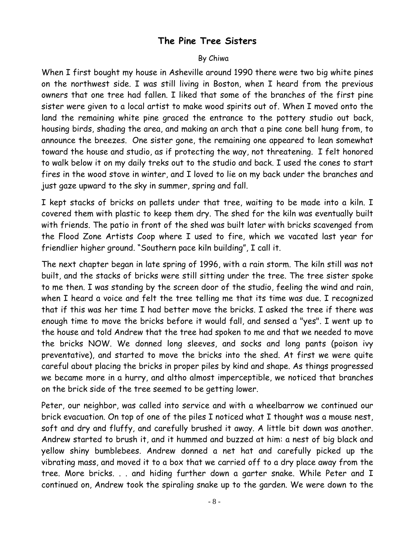# **The Pine Tree Sisters**

# By Chiwa

When I first bought my house in Asheville around 1990 there were two big white pines on the northwest side. I was still living in Boston, when I heard from the previous owners that one tree had fallen. I liked that some of the branches of the first pine sister were given to a local artist to make wood spirits out of. When I moved onto the land the remaining white pine graced the entrance to the pottery studio out back, housing birds, shading the area, and making an arch that a pine cone bell hung from, to announce the breezes. One sister gone, the remaining one appeared to lean somewhat toward the house and studio, as if protecting the way, not threatening. I felt honored to walk below it on my daily treks out to the studio and back. I used the cones to start fires in the wood stove in winter, and I loved to lie on my back under the branches and just gaze upward to the sky in summer, spring and fall.

I kept stacks of bricks on pallets under that tree, waiting to be made into a kiln. I covered them with plastic to keep them dry. The shed for the kiln was eventually built with friends. The patio in front of the shed was built later with bricks scavenged from the Flood Zone Artists Coop where I used to fire, which we vacated last year for friendlier higher ground. "Southern pace kiln building", I call it.

The next chapter began in late spring of 1996, with a rain storm. The kiln still was not built, and the stacks of bricks were still sitting under the tree. The tree sister spoke to me then. I was standing by the screen door of the studio, feeling the wind and rain, when I heard a voice and felt the tree telling me that its time was due. I recognized that if this was her time I had better move the bricks. I asked the tree if there was enough time to move the bricks before it would fall, and sensed a "yes". I went up to the house and told Andrew that the tree had spoken to me and that we needed to move the bricks NOW. We donned long sleeves, and socks and long pants (poison ivy preventative), and started to move the bricks into the shed. At first we were quite careful about placing the bricks in proper piles by kind and shape. As things progressed we became more in a hurry, and altho almost imperceptible, we noticed that branches on the brick side of the tree seemed to be getting lower.

Peter, our neighbor, was called into service and with a wheelbarrow we continued our brick evacuation. On top of one of the piles I noticed what I thought was a mouse nest, soft and dry and fluffy, and carefully brushed it away. A little bit down was another. Andrew started to brush it, and it hummed and buzzed at him: a nest of big black and yellow shiny bumblebees. Andrew donned a net hat and carefully picked up the vibrating mass, and moved it to a box that we carried off to a dry place away from the tree. More bricks. . . and hiding further down a garter snake. While Peter and I continued on, Andrew took the spiraling snake up to the garden. We were down to the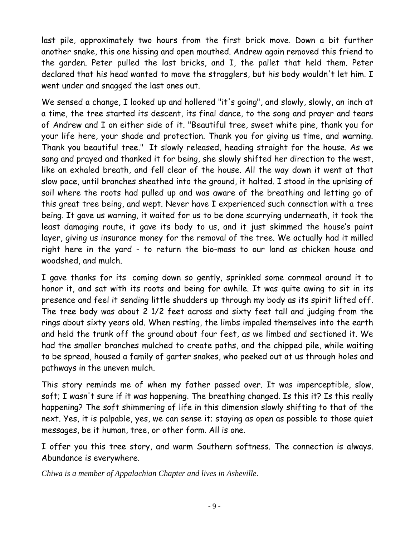last pile, approximately two hours from the first brick move. Down a bit further another snake, this one hissing and open mouthed. Andrew again removed this friend to the garden. Peter pulled the last bricks, and I, the pallet that held them. Peter declared that his head wanted to move the stragglers, but his body wouldn't let him. I went under and snagged the last ones out.

We sensed a change, I looked up and hollered "it's going", and slowly, slowly, an inch at a time, the tree started its descent, its final dance, to the song and prayer and tears of Andrew and I on either side of it. "Beautiful tree, sweet white pine, thank you for your life here, your shade and protection. Thank you for giving us time, and warning. Thank you beautiful tree." It slowly released, heading straight for the house. As we sang and prayed and thanked it for being, she slowly shifted her direction to the west, like an exhaled breath, and fell clear of the house. All the way down it went at that slow pace, until branches sheathed into the ground, it halted. I stood in the uprising of soil where the roots had pulled up and was aware of the breathing and letting go of this great tree being, and wept. Never have I experienced such connection with a tree being. It gave us warning, it waited for us to be done scurrying underneath, it took the least damaging route, it gave its body to us, and it just skimmed the house's paint layer, giving us insurance money for the removal of the tree. We actually had it milled right here in the yard - to return the bio-mass to our land as chicken house and woodshed, and mulch.

I gave thanks for its coming down so gently, sprinkled some cornmeal around it to honor it, and sat with its roots and being for awhile. It was quite awing to sit in its presence and feel it sending little shudders up through my body as its spirit lifted off. The tree body was about 2 1/2 feet across and sixty feet tall and judging from the rings about sixty years old. When resting, the limbs impaled themselves into the earth and held the trunk off the ground about four feet, as we limbed and sectioned it. We had the smaller branches mulched to create paths, and the chipped pile, while waiting to be spread, housed a family of garter snakes, who peeked out at us through holes and pathways in the uneven mulch.

This story reminds me of when my father passed over. It was imperceptible, slow, soft; I wasn't sure if it was happening. The breathing changed. Is this it? Is this really happening? The soft shimmering of life in this dimension slowly shifting to that of the next. Yes, it is palpable, yes, we can sense it; staying as open as possible to those quiet messages, be it human, tree, or other form. All is one.

I offer you this tree story, and warm Southern softness. The connection is always. Abundance is everywhere.

*Chiwa is a member of Appalachian Chapter and lives in Asheville.*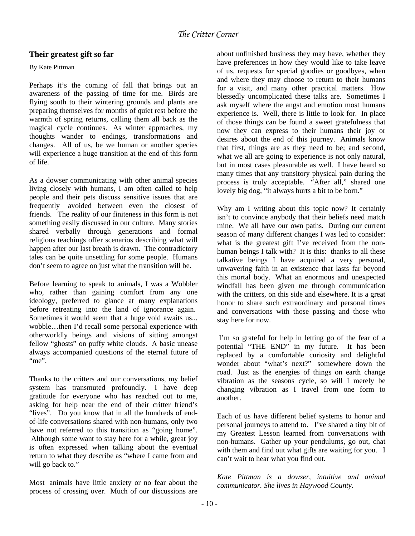## **Their greatest gift so far**

### By Kate Pittman

Perhaps it's the coming of fall that brings out an awareness of the passing of time for me. Birds are flying south to their wintering grounds and plants are preparing themselves for months of quiet rest before the warmth of spring returns, calling them all back as the magical cycle continues. As winter approaches, my thoughts wander to endings, transformations and changes. All of us, be we human or another species will experience a huge transition at the end of this form of life.

As a dowser communicating with other animal species living closely with humans, I am often called to help people and their pets discuss sensitive issues that are frequently avoided between even the closest of friends. The reality of our finiteness in this form is not something easily discussed in our culture. Many stories shared verbally through generations and formal religious teachings offer scenarios describing what will happen after our last breath is drawn. The contradictory tales can be quite unsettling for some people. Humans don't seem to agree on just what the transition will be.

Before learning to speak to animals, I was a Wobbler who, rather than gaining comfort from any one ideology, preferred to glance at many explanations before retreating into the land of ignorance again. Sometimes it would seem that a huge void awaits us... wobble…then I'd recall some personal experience with otherworldly beings and visions of sitting amongst fellow "ghosts" on puffy white clouds. A basic unease always accompanied questions of the eternal future of "me".

Thanks to the critters and our conversations, my belief system has transmuted profoundly. I have deep gratitude for everyone who has reached out to me, asking for help near the end of their critter friend's "lives". Do you know that in all the hundreds of endof-life conversations shared with non-humans, only two have not referred to this transition as "going home". Although some want to stay here for a while, great joy is often expressed when talking about the eventual return to what they describe as "where I came from and will go back to."

Most animals have little anxiety or no fear about the process of crossing over. Much of our discussions are about unfinished business they may have, whether they have preferences in how they would like to take leave of us, requests for special goodies or goodbyes, when and where they may choose to return to their humans for a visit, and many other practical matters. How blessedly uncomplicated these talks are. Sometimes I ask myself where the angst and emotion most humans experience is. Well, there is little to look for. In place of those things can be found a sweet gratefulness that now they can express to their humans their joy or desires about the end of this journey. Animals know that first, things are as they need to be; and second, what we all are going to experience is not only natural, but in most cases pleasurable as well. I have heard so many times that any transitory physical pain during the process is truly acceptable. "After all," shared one lovely big dog, "it always hurts a bit to be born."

Why am I writing about this topic now? It certainly isn't to convince anybody that their beliefs need match mine. We all have our own paths. During our current season of many different changes I was led to consider: what is the greatest gift I've received from the nonhuman beings I talk with? It is this: thanks to all these talkative beings I have acquired a very personal, unwavering faith in an existence that lasts far beyond this mortal body. What an enormous and unexpected windfall has been given me through communication with the critters, on this side and elsewhere. It is a great honor to share such extraordinary and personal times and conversations with those passing and those who stay here for now.

 I'm so grateful for help in letting go of the fear of a potential "THE END" in my future. It has been replaced by a comfortable curiosity and delightful wonder about "what's next?" somewhere down the road. Just as the energies of things on earth change vibration as the seasons cycle, so will I merely be changing vibration as I travel from one form to another.

Each of us have different belief systems to honor and personal journeys to attend to. I've shared a tiny bit of my Greatest Lesson learned from conversations with non-humans. Gather up your pendulums, go out, chat with them and find out what gifts are waiting for you. I can't wait to hear what you find out.

*Kate Pittman is a dowser, intuitive and animal communicator. She lives in Haywood County.*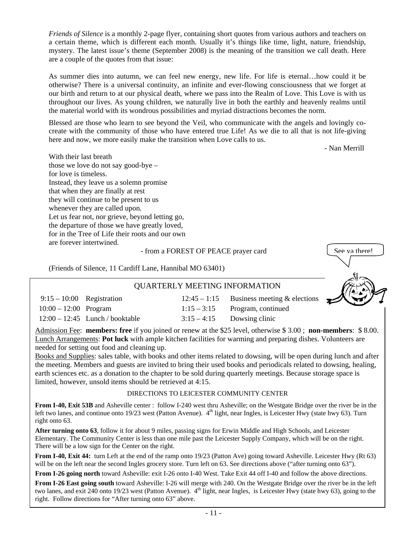*Friends of Silence* is a monthly 2-page flyer, containing short quotes from various authors and teachers on a certain theme, which is different each month. Usually it's things like time, light, nature, friendship, mystery. The latest issue's theme (September 2008) is the meaning of the transition we call death. Here are a couple of the quotes from that issue:

As summer dies into autumn, we can feel new energy, new life. For life is eternal…how could it be otherwise? There is a universal continuity, an infinite and ever-flowing consciousness that we forget at our birth and return to at our physical death, where we pass into the Realm of Love. This Love is with us throughout our lives. As young children, we naturally live in both the earthly and heavenly realms until the material world with its wondrous possibilities and myriad distractions becomes the norm.

Blessed are those who learn to see beyond the Veil, who communicate with the angels and lovingly cocreate with the community of those who have entered true Life! As we die to all that is not life-giving here and now, we more easily make the transition when Love calls to us.

- Nan Merrill

With their last breath those we love do not say good-bye – for love is timeless. Instead, they leave us a solemn promise that when they are finally at rest they will continue to be present to us whenever they are called upon. Let us fear not, nor grieve, beyond letting go, the departure of those we have greatly loved, for in the Tree of Life their roots and our own are forever intertwined.

### - from a FOREST OF PEACE prayer card

(Friends of Silence, 11 Cardiff Lane, Hannibal MO 63401)



## QUARTERLY MEETING INFORMATION

| $9:15-10:00$ Registration |                                   | $12:45 - 1:15$ Business meeting & elections |
|---------------------------|-----------------------------------|---------------------------------------------|
| $10:00 - 12:00$ Program   |                                   | $1:15-3:15$ Program, continued              |
|                           | $12:00 - 12:45$ Lunch / booktable | $3:15-4:15$ Dowsing clinic                  |

Admission Fee: **members: free** if you joined or renew at the \$25 level, otherwise \$ 3.00 ; **non-members**: \$ 8.00. Lunch Arrangements: **Pot luck** with ample kitchen facilities for warming and preparing dishes. Volunteers are needed for setting out food and cleaning up.

Books and Supplies: sales table, with books and other items related to dowsing, will be open during lunch and after the meeting. Members and guests are invited to bring their used books and periodicals related to dowsing, healing, earth sciences etc. as a donation to the chapter to be sold during quarterly meetings. Because storage space is limited, however, unsold items should be retrieved at 4:15.

### DIRECTIONS TO LEICESTER COMMUNITY CENTER

**From I-40, Exit 53B** and Asheville center : follow I-240 west thru Asheville; on the Westgate Bridge over the river be in the left two lanes, and continue onto 19/23 west (Patton Avenue). 4<sup>th</sup> light, near Ingles, is Leicester Hwy (state hwy 63). Turn right onto 63.

**After turning onto 63**, follow it for about 9 miles, passing signs for Erwin Middle and High Schools, and Leicester Elementary. The Community Center is less than one mile past the Leicester Supply Company, which will be on the right. There will be a low sign for the Center on the right.

**From I-40, Exit 44:** turn Left at the end of the ramp onto 19/23 (Patton Ave) going toward Asheville. Leicester Hwy (Rt 63) will be on the left near the second Ingles grocery store. Turn left on 63. See directions above ("after turning onto 63").

**From I-26 going north** toward Asheville: exit I-26 onto I-40 West. Take Exit 44 off I-40 and follow the above directions.

**From I-26 East going south** toward Asheville: I-26 will merge with 240. On the Westgate Bridge over the river be in the left two lanes, and exit 240 onto 19/23 west (Patton Avenue).  $4<sup>th</sup>$  light, near Ingles, is Leicester Hwy (state hwy 63), going to the right. Follow directions for "After turning onto 63" above.